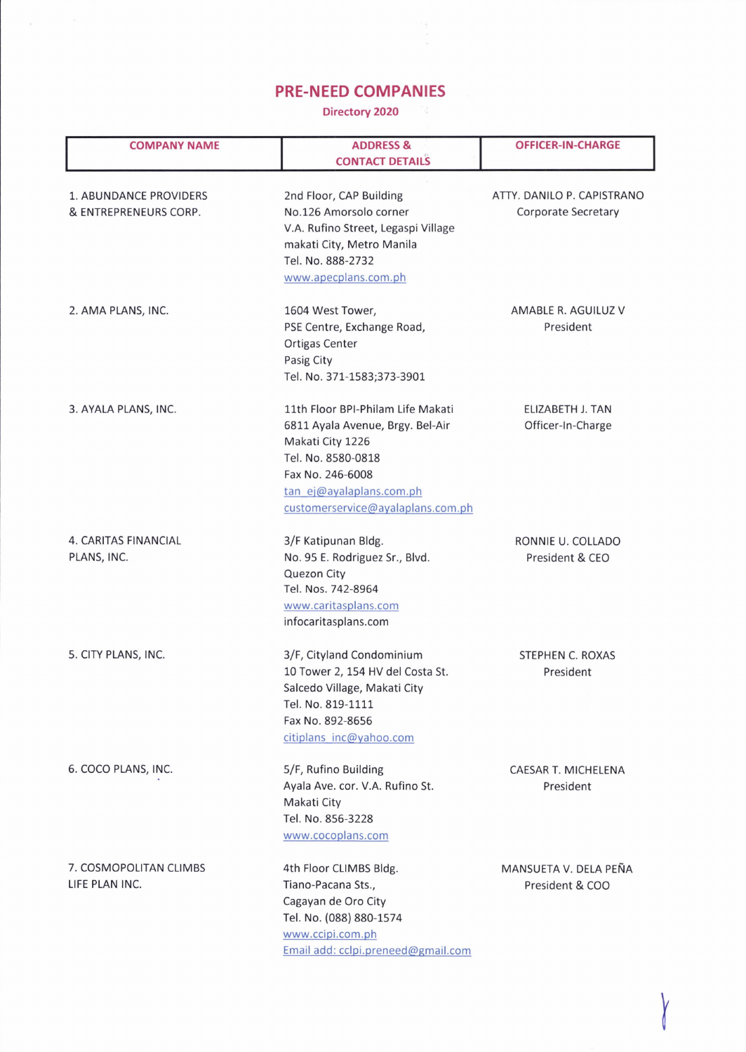## PRE.NEED COMPANIES

 $\mathbf{y}$  ,  $\mathbf{y}$  ,  $\mathbf{y}$  ,

Directory 2020

| <b>COMPANY NAME</b>                             | <b>ADDRESS &amp;</b><br><b>CONTACT DETAILS</b>                                                                                                                                                       | <b>OFFICER-IN-CHARGE</b>                                 |
|-------------------------------------------------|------------------------------------------------------------------------------------------------------------------------------------------------------------------------------------------------------|----------------------------------------------------------|
| 1. ABUNDANCE PROVIDERS<br>& ENTREPRENEURS CORP. | 2nd Floor, CAP Building<br>No.126 Amorsolo corner<br>V.A. Rufino Street, Legaspi Village<br>makati City, Metro Manila<br>Tel. No. 888-2732<br>www.apecplans.com.ph                                   | ATTY. DANILO P. CAPISTRANO<br><b>Corporate Secretary</b> |
| 2. AMA PLANS, INC.                              | 1604 West Tower,<br>PSE Centre, Exchange Road,<br>Ortigas Center<br>Pasig City<br>Tel. No. 371-1583;373-3901                                                                                         | AMABLE R. AGUILUZ V<br>President                         |
| 3. AYALA PLANS, INC.                            | 11th Floor BPI-Philam Life Makati<br>6811 Ayala Avenue, Brgy. Bel-Air<br>Makati City 1226<br>Tel. No. 8580-0818<br>Fax No. 246-6008<br>tan ej@ayalaplans.com.ph<br>customerservice@ayalaplans.com.ph | <b>ELIZABETH J. TAN</b><br>Officer-In-Charge             |
| <b>4. CARITAS FINANCIAL</b><br>PLANS, INC.      | 3/F Katipunan Bldg.<br>No. 95 E. Rodriguez Sr., Blvd.<br>Quezon City<br>Tel. Nos. 742-8964<br>www.caritasplans.com<br>infocaritasplans.com                                                           | RONNIE U. COLLADO<br>President & CEO                     |
| 5. CITY PLANS, INC.                             | 3/F, Cityland Condominium<br>10 Tower 2, 154 HV del Costa St.<br>Salcedo Village, Makati City<br>Tel. No. 819-1111<br>Fax No. 892-8656<br>citiplans inc@yahoo.com                                    | <b>STEPHEN C. ROXAS</b><br>President                     |
| 6. COCO PLANS, INC.                             | 5/F, Rufino Building<br>Ayala Ave. cor. V.A. Rufino St.<br>Makati City<br>Tel. No. 856-3228<br>www.cocoplans.com                                                                                     | CAESAR T. MICHELENA<br>President                         |
| 7. COSMOPOLITAN CLIMBS<br>LIFE PLAN INC.        | 4th Floor CLIMBS Bldg.<br>Tiano-Pacana Sts.,<br>Cagayan de Oro City<br>Tel. No. (088) 880-1574<br>www.ccipi.com.ph<br>Email add: cclpi.preneed@gmail.com                                             | MANSUETA V. DELA PEÑA<br>President & COO                 |

x